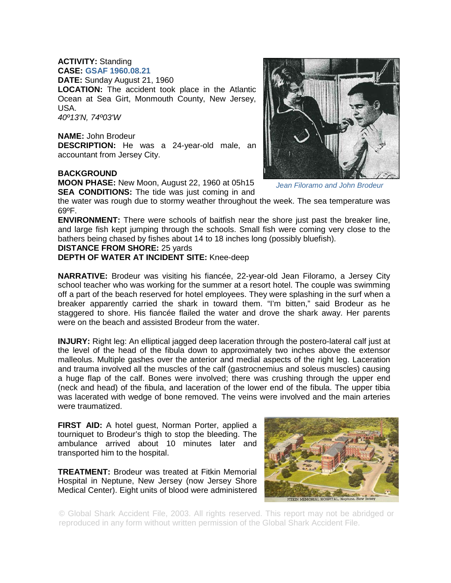**ACTIVITY:** Standing **CASE: GSAF 1960.08.21 DATE:** Sunday August 21, 1960 **LOCATION:** The accident took place in the Atlantic Ocean at Sea Girt, Monmouth County, New Jersey, USA. *40º13'N, 74º03'W*

**NAME:** John Brodeur **DESCRIPTION:** He was a 24-year-old male, an accountant from Jersey City.

## **BACKGROUND**

**MOON PHASE:** New Moon, August 22, 1960 at 05h15 **SEA CONDITIONS:** The tide was just coming in and

the water was rough due to stormy weather throughout the week. The sea temperature was 69ºF.

**ENVIRONMENT:** There were schools of baitfish near the shore just past the breaker line, and large fish kept jumping through the schools. Small fish were coming very close to the bathers being chased by fishes about 14 to 18 inches long (possibly bluefish).

## **DISTANCE FROM SHORE:** 25 yards

**DEPTH OF WATER AT INCIDENT SITE:** Knee-deep

**NARRATIVE:** Brodeur was visiting his fiancée, 22-year-old Jean Filoramo, a Jersey City school teacher who was working for the summer at a resort hotel. The couple was swimming off a part of the beach reserved for hotel employees. They were splashing in the surf when a breaker apparently carried the shark in toward them. "I'm bitten," said Brodeur as he staggered to shore. His fiancée flailed the water and drove the shark away. Her parents were on the beach and assisted Brodeur from the water.

**INJURY:** Right leg: An elliptical jagged deep laceration through the postero-lateral calf just at the level of the head of the fibula down to approximately two inches above the extensor malleolus. Multiple gashes over the anterior and medial aspects of the right leg. Laceration and trauma involved all the muscles of the calf (gastrocnemius and soleus muscles) causing a huge flap of the calf. Bones were involved; there was crushing through the upper end (neck and head) of the fibula, and laceration of the lower end of the fibula. The upper tibia was lacerated with wedge of bone removed. The veins were involved and the main arteries were traumatized.

**FIRST AID:** A hotel guest, Norman Porter, applied a tourniquet to Brodeur's thigh to stop the bleeding. The ambulance arrived about 10 minutes later and transported him to the hospital.

**TREATMENT:** Brodeur was treated at Fitkin Memorial Hospital in Neptune, New Jersey (now Jersey Shore Medical Center). Eight units of blood were administered



© Global Shark Accident File, 2003. All rights reserved. This report may not be abridged or reproduced in any form without written permission of the Global Shark Accident File.

*Jean Filoramo and John Brodeur*